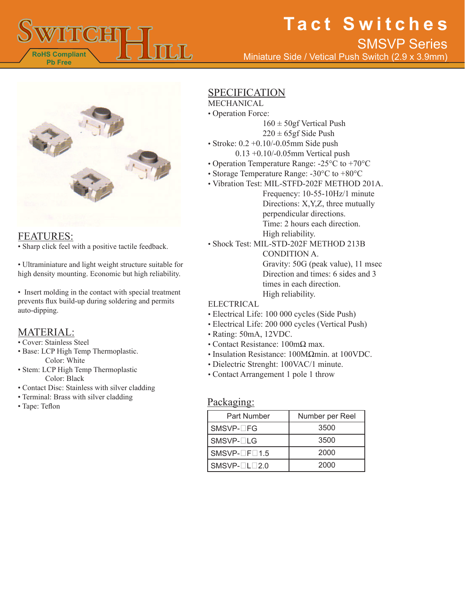

# **Tact Switches**

Miniature Side / Vetical Push Switch (2.9 x 3.9mm) SMSVP Series



#### FEATURES:

• Sharp click feel with a positive tactile feedback.

• Ultraminiature and light weight structure suitable for high density mounting. Economic but high reliability.

• Insert molding in the contact with special treatment prevents flux build-up during soldering and permits auto-dipping.

### MATERIAL:

- Cover: Stainless Steel
- Base: LCP High Temp Thermoplastic. Color: White
- Stem: LCP High Temp Thermoplastic Color: Black
- Contact Disc: Stainless with silver cladding
- Terminal: Brass with silver cladding
- Tape: Teflon

### SPECIFICATION

### MECHANICAL

- Operation Force:
	- $160 \pm 50$ gf Vertical Push
		- $220 \pm 65$ gf Side Push
- Stroke: 0.2 +0.10/-0.05mm Side push 0.13 +0.10/-0.05mm Vertical push
- Operation Temperature Range: -25°C to +70°C
- 
- Storage Temperature Range: -30°C to +80°C
- Vibration Test: MIL-STFD-202F METHOD 201A. Frequency: 10-55-10Hz/1 minute Directions: X,Y,Z, three mutually perpendicular directions. Time: 2 hours each direction. High reliability.
- Shock Test: MIL-STD-202F METHOD 213B CONDITION A. Gravity: 50G (peak value), 11 msec Direction and times: 6 sides and 3 times in each direction. High reliability.

#### ELECTRICAL

- Electrical Life: 100 000 cycles (Side Push)
- Electrical Life: 200 000 cycles (Vertical Push)
- Rating: 50mA, 12VDC.
- Contact Resistance: 100mΩ max.
- Insulation Resistance: 100MΩmin. at 100VDC.
- Dielectric Strenght: 100VAC/1 minute.
- Contact Arrangement 1 pole 1 throw

### Packaging:

| Part Number        | Number per Reel |
|--------------------|-----------------|
| SMSVP-□FG          | 3500            |
| SMSVP-□LG          | 3500            |
| $SMSVP-TF\Box 1.5$ | 2000            |
| $SMSVP-TLT2.0$     | 2000            |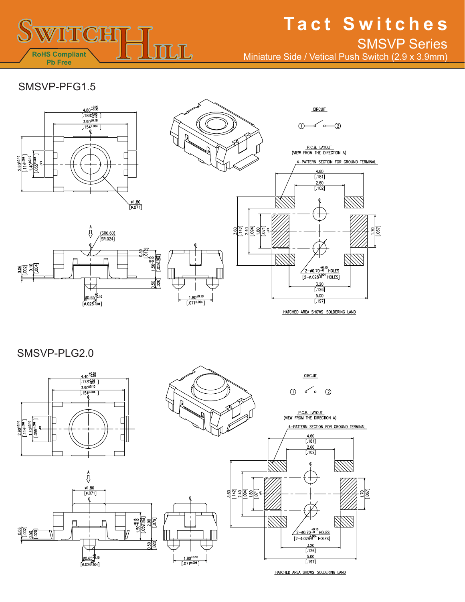

# **Tact Switches**

Miniature Side / Vetical Push Switch (2.9 x 3.9mm) SMSVP Series

## SMSVP-PFG1.5



A<br>{}

 $\frac{\cancel{00.65}^{+8.10}}{[\cancel{0.026}^{0.004}]}$ 

 $\frac{\text{(SR0.60)}}{\text{[SR.024]}}$ 

 $\frac{1.50^{+0.15}_{-0.15}}{0.092_{-0.15}}$ 

 $\frac{1}{2}$ 



HATCHED AREA SHOWS SOLDERING LAND

SMSVP-PLG2.0

 $\begin{array}{r} 0.06 \\ -0.02 \\ \hline 1.004 \\ \hline 1.004 \\ \hline \end{array}$ 







HATCHED AREA SHOWS SOLDERING LAND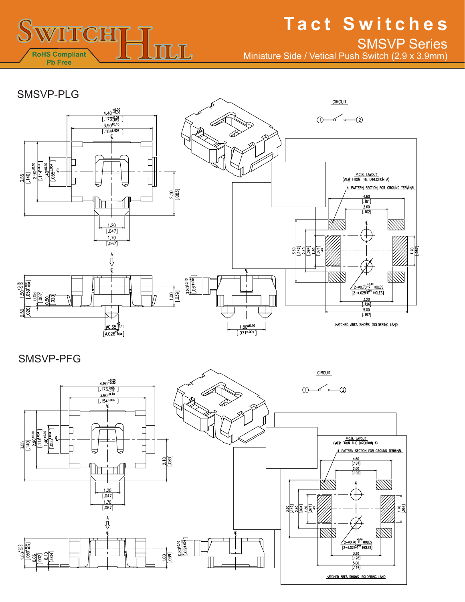

# **Tact Switches** SMSVP Series

Miniature Side / Vetical Push Switch (2.9 x 3.9mm)



SMSVP-PFG